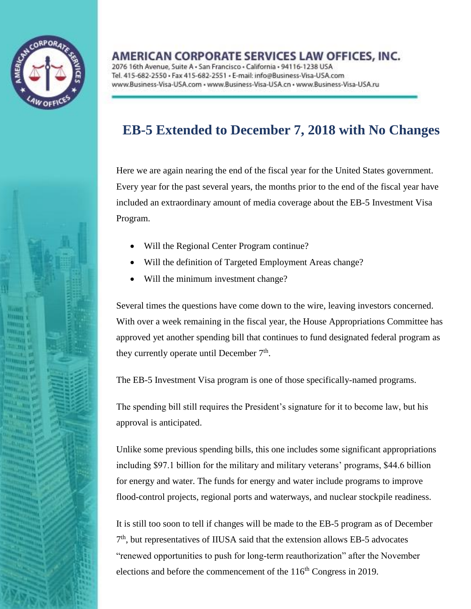

**Bistany v Hings 6** treating of

**HARDER AN DESCRIPTION AND** 

## AMERICAN CORPORATE SERVICES LAW OFFICES, INC.

2076 16th Avenue, Suite A · San Francisco · California · 94116-1238 USA Tel. 415-682-2550 · Fax 415-682-2551 · E-mail: info@Business-Visa-USA.com www.Business-Visa-USA.com · www.Business-Visa-USA.cn · www.Business-Visa-USA.ru

## **EB-5 Extended to December 7, 2018 with No Changes**

Here we are again nearing the end of the fiscal year for the United States government. Every year for the past several years, the months prior to the end of the fiscal year have included an extraordinary amount of media coverage about the EB-5 Investment Visa Program.

- Will the Regional Center Program continue?
- Will the definition of Targeted Employment Areas change?
- Will the minimum investment change?

Several times the questions have come down to the wire, leaving investors concerned. With over a week remaining in the fiscal year, the House Appropriations Committee has approved yet another spending bill that continues to fund designated federal program as they currently operate until December  $7<sup>th</sup>$ .

The EB-5 Investment Visa program is one of those specifically-named programs.

The spending bill still requires the President's signature for it to become law, but his approval is anticipated.

Unlike some previous spending bills, this one includes some significant appropriations including \$97.1 billion for the military and military veterans' programs, \$44.6 billion for energy and water. The funds for energy and water include programs to improve flood-control projects, regional ports and waterways, and nuclear stockpile readiness.

It is still too soon to tell if changes will be made to the EB-5 program as of December 7<sup>th</sup>, but representatives of IIUSA said that the extension allows EB-5 advocates "renewed opportunities to push for long-term reauthorization" after the November elections and before the commencement of the  $116<sup>th</sup>$  Congress in 2019.